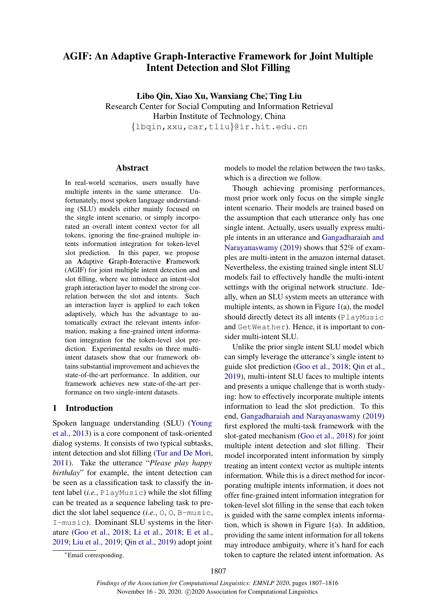# AGIF: An Adaptive Graph-Interactive Framework for Joint Multiple Intent Detection and Slot Filling

Libo Qin, Xiao Xu, Wanxiang Che<sup>\*</sup>, Ting Liu Research Center for Social Computing and Information Retrieval Harbin Institute of Technology, China {lbqin,xxu,car,tliu}@ir.hit.edu.cn

#### Abstract

In real-world scenarios, users usually have multiple intents in the same utterance. Unfortunately, most spoken language understanding (SLU) models either mainly focused on the single intent scenario, or simply incorporated an overall intent context vector for all tokens, ignoring the fine-grained multiple intents information integration for token-level slot prediction. In this paper, we propose an Adaptive Graph-Interactive Framework (AGIF) for joint multiple intent detection and slot filling, where we introduce an intent-slot graph interaction layer to model the strong correlation between the slot and intents. Such an interaction layer is applied to each token adaptively, which has the advantage to automatically extract the relevant intents information, making a fine-grained intent information integration for the token-level slot prediction. Experimental results on three multiintent datasets show that our framework obtains substantial improvement and achieves the state-of-the-art performance. In addition, our framework achieves new state-of-the-art performance on two single-intent datasets.

### 1 Introduction

Spoken language understanding (SLU) [\(Young](#page-9-0) [et al.,](#page-9-0) [2013\)](#page-9-0) is a core component of task-oriented dialog systems. It consists of two typical subtasks, intent detection and slot filling [\(Tur and De Mori,](#page-9-1) [2011\)](#page-9-1). Take the utterance "*Please play happy birthday*" for example, the intent detection can be seen as a classification task to classify the intent label (*i.e.*, PlayMusic) while the slot filling can be treated as a sequence labeling task to predict the slot label sequence (*i.e.*, O, O, B-music, I-music). Dominant SLU systems in the literature [\(Goo et al.,](#page-8-0) [2018;](#page-8-0) [Li et al.,](#page-9-2) [2018;](#page-9-2) [E et al.,](#page-8-1) [2019;](#page-8-1) [Liu et al.,](#page-9-3) [2019;](#page-9-3) [Qin et al.,](#page-9-4) [2019\)](#page-9-4) adopt joint

models to model the relation between the two tasks, which is a direction we follow.

Though achieving promising performances, most prior work only focus on the simple single intent scenario. Their models are trained based on the assumption that each utterance only has one single intent. Actually, users usually express multiple intents in an utterance and [Gangadharaiah and](#page-8-2) [Narayanaswamy](#page-8-2) [\(2019\)](#page-8-2) shows that 52% of examples are multi-intent in the amazon internal dataset. Nevertheless, the existing trained single intent SLU models fail to effectively handle the multi-intent settings with the original network structure. Ideally, when an SLU system meets an utterance with multiple intents, as shown in Figure [1\(](#page-1-0)a), the model should directly detect its all intents (PlayMusic and GetWeather). Hence, it is important to consider multi-intent SLU.

Unlike the prior single intent SLU model which can simply leverage the utterance's single intent to guide slot prediction [\(Goo et al.,](#page-8-0) [2018;](#page-8-0) [Qin et al.,](#page-9-4) [2019\)](#page-9-4), multi-intent SLU faces to multiple intents and presents a unique challenge that is worth studying: how to effectively incorporate multiple intents information to lead the slot prediction. To this end, [Gangadharaiah and Narayanaswamy](#page-8-2) [\(2019\)](#page-8-2) first explored the multi-task framework with the slot-gated mechanism [\(Goo et al.,](#page-8-0) [2018\)](#page-8-0) for joint multiple intent detection and slot filling. Their model incorporated intent information by simply treating an intent context vector as multiple intents information. While this is a direct method for incorporating multiple intents information, it does not offer fine-grained intent information integration for token-level slot filling in the sense that each token is guided with the same complex intents information, which is shown in Figure [1\(](#page-1-0)a). In addition, providing the same intent information for all tokens may introduce ambiguity, where it's hard for each token to capture the related intent information. As

<sup>∗</sup>Email corresponding.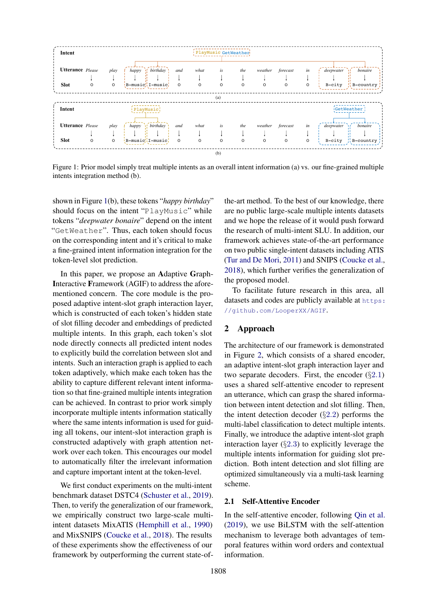<span id="page-1-0"></span>

| <b>Utterance</b> Please<br>happy if birthday<br>is<br>forecast<br>in<br>deepwater<br>Λŕ<br>bonaire<br>play<br>what<br>weather<br>the<br>and<br>B-music, I-music,<br><b>Slot</b><br>$\circ$<br>B-city<br>$\frac{1}{1}$ B-country<br>$\circ$<br>$\circ$<br>$\circ$<br>$\circ$<br>$\circ$<br>$\circ$<br>$\circ$<br>0<br>(a)<br>GetWeather<br>Intent<br>PlayMusic<br><b>Utterance</b> Please<br>happy if birthday<br>forecast<br>deepwater<br>bonaire<br>play<br>weather<br>what<br>is<br>in<br>the<br>and<br>- 37<br><b>Slot</b><br>$B-music$ , I-music,<br>$\frac{11}{11}$ B-country $\frac{1}{1}$<br>$\circ$<br>$\circ$<br>$\circ$<br>$\circ$<br>B-city<br>$\circ$<br>$\circ$<br>$\circ$<br>$\circ$<br>0 | Intent |  |  | PlayMusic GetWeather |  |  |  |  |
|---------------------------------------------------------------------------------------------------------------------------------------------------------------------------------------------------------------------------------------------------------------------------------------------------------------------------------------------------------------------------------------------------------------------------------------------------------------------------------------------------------------------------------------------------------------------------------------------------------------------------------------------------------------------------------------------------------|--------|--|--|----------------------|--|--|--|--|
|                                                                                                                                                                                                                                                                                                                                                                                                                                                                                                                                                                                                                                                                                                         |        |  |  |                      |  |  |  |  |
|                                                                                                                                                                                                                                                                                                                                                                                                                                                                                                                                                                                                                                                                                                         |        |  |  |                      |  |  |  |  |
|                                                                                                                                                                                                                                                                                                                                                                                                                                                                                                                                                                                                                                                                                                         |        |  |  |                      |  |  |  |  |
|                                                                                                                                                                                                                                                                                                                                                                                                                                                                                                                                                                                                                                                                                                         |        |  |  |                      |  |  |  |  |
|                                                                                                                                                                                                                                                                                                                                                                                                                                                                                                                                                                                                                                                                                                         |        |  |  |                      |  |  |  |  |

Figure 1: Prior model simply treat multiple intents as an overall intent information (a) vs. our fine-grained multiple intents integration method (b).

shown in Figure [1\(](#page-1-0)b), these tokens "*happy birthday*" should focus on the intent "PlayMusic" while tokens "*deepwater bonaire*" depend on the intent "GetWeather". Thus, each token should focus on the corresponding intent and it's critical to make a fine-grained intent information integration for the token-level slot prediction.

In this paper, we propose an Adaptive Graph-Interactive Framework (AGIF) to address the aforementioned concern. The core module is the proposed adaptive intent-slot graph interaction layer, which is constructed of each token's hidden state of slot filling decoder and embeddings of predicted multiple intents. In this graph, each token's slot node directly connects all predicted intent nodes to explicitly build the correlation between slot and intents. Such an interaction graph is applied to each token adaptively, which make each token has the ability to capture different relevant intent information so that fine-grained multiple intents integration can be achieved. In contrast to prior work simply incorporate multiple intents information statically where the same intents information is used for guiding all tokens, our intent-slot interaction graph is constructed adaptively with graph attention network over each token. This encourages our model to automatically filter the irrelevant information and capture important intent at the token-level.

We first conduct experiments on the multi-intent benchmark dataset DSTC4 [\(Schuster et al.,](#page-9-5) [2019\)](#page-9-5). Then, to verify the generalization of our framework, we empirically construct two large-scale multiintent datasets MixATIS [\(Hemphill et al.,](#page-9-6) [1990\)](#page-9-6) and MixSNIPS [\(Coucke et al.,](#page-8-3) [2018\)](#page-8-3). The results of these experiments show the effectiveness of our framework by outperforming the current state-ofthe-art method. To the best of our knowledge, there are no public large-scale multiple intents datasets and we hope the release of it would push forward the research of multi-intent SLU. In addition, our framework achieves state-of-the-art performance on two public single-intent datasets including ATIS [\(Tur and De Mori,](#page-9-1) [2011\)](#page-9-1) and SNIPS [\(Coucke et al.,](#page-8-3) [2018\)](#page-8-3), which further verifies the generalization of the proposed model.

To facilitate future research in this area, all datasets and codes are publicly available at [https:](https://github.com/LooperXX/AGIF) [//github.com/LooperXX/AGIF](https://github.com/LooperXX/AGIF).

## 2 Approach

The architecture of our framework is demonstrated in Figure [2,](#page-2-0) which consists of a shared encoder, an adaptive intent-slot graph interaction layer and two separate decoders. First, the encoder  $(\S2.1)$  $(\S2.1)$  $(\S2.1)$ uses a shared self-attentive encoder to represent an utterance, which can grasp the shared information between intent detection and slot filling. Then, the intent detection decoder  $(\S2.2)$  $(\S2.2)$  $(\S2.2)$  performs the multi-label classification to detect multiple intents. Finally, we introduce the adaptive intent-slot graph interaction layer (§[2](#page-2-2).3) to explicitly leverage the multiple intents information for guiding slot prediction. Both intent detection and slot filling are optimized simultaneously via a multi-task learning scheme.

### <span id="page-1-1"></span>2.1 Self-Attentive Encoder

In the self-attentive encoder, following [Qin et al.](#page-9-4) [\(2019\)](#page-9-4), we use BiLSTM with the self-attention mechanism to leverage both advantages of temporal features within word orders and contextual information.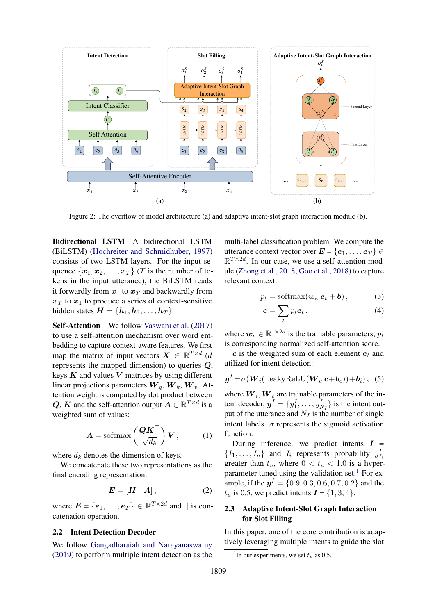<span id="page-2-0"></span>

Figure 2: The overflow of model architecture (a) and adaptive intent-slot graph interaction module (b).

Bidirectional LSTM A bidirectional LSTM (BiLSTM) [\(Hochreiter and Schmidhuber,](#page-9-7) [1997\)](#page-9-7) consists of two LSTM layers. For the input sequence  $\{x_1, x_2, \ldots, x_T\}$  (T is the number of tokens in the input utterance), the BiLSTM reads it forwardly from  $x_1$  to  $x_T$  and backwardly from  $x_T$  to  $x_1$  to produce a series of context-sensitive hidden states  $\mathbf{H} = \{\mathbf{h}_1, \mathbf{h}_2, \dots, \mathbf{h}_T\}.$ 

Self-Attention We follow [Vaswani et al.](#page-9-8) [\(2017\)](#page-9-8) to use a self-attention mechanism over word embedding to capture context-aware features. We first map the matrix of input vectors  $\mathbf{X} \in \mathbb{R}^{T \times d}$  (d represents the mapped dimension) to queries Q, keys  $K$  and values  $V$  matrices by using different linear projections parameters  $W_q$ ,  $W_k$ ,  $W_v$ . Attention weight is computed by dot product between Q, K and the self-attention output  $A \in \mathbb{R}^{T \times d}$  is a weighted sum of values:

$$
\boldsymbol{A} = \text{softmax}\left(\frac{\boldsymbol{Q}\boldsymbol{K}^{\top}}{\sqrt{d_k}}\right)\boldsymbol{V},\qquad(1)
$$

where  $d_k$  denotes the dimension of keys.

We concatenate these two representations as the final encoding representation:

$$
E = [H || A], \tag{2}
$$

where  $\mathbf{E} = \{e_1, \dots, e_T\} \in \mathbb{R}^{T \times 2d}$  and  $\parallel$  is concatenation operation.

#### <span id="page-2-1"></span>2.2 Intent Detection Decoder

We follow [Gangadharaiah and Narayanaswamy](#page-8-2) [\(2019\)](#page-8-2) to perform multiple intent detection as the multi-label classification problem. We compute the utterance context vector over  $E = \{e_1, \ldots, e_T\} \in$  $\mathbb{R}^{T \times 2d}$ . In our case, we use a self-attention module [\(Zhong et al.,](#page-9-9) [2018;](#page-9-9) [Goo et al.,](#page-8-0) [2018\)](#page-8-0) to capture relevant context:

$$
p_t = \text{softmax}(\boldsymbol{w}_e \, \boldsymbol{e}_t + \boldsymbol{b}), \tag{3}
$$

$$
c = \sum_{t} p_t e_t, \qquad (4)
$$

where  $w_e \in \mathbb{R}^{1 \times 2d}$  is the trainable parameters,  $p_t$ is corresponding normalized self-attention score.

 $c$  is the weighted sum of each element  $e_t$  and utilized for intent detection:

$$
\boldsymbol{y}^{I} = \sigma(\boldsymbol{W}_{i}(\text{LeakyReLU}(\boldsymbol{W}_{c} \boldsymbol{c} + \boldsymbol{b}_{c})) + \boldsymbol{b}_{i}), \quad (5)
$$

where  $W_i, W_c$  are trainable parameters of the intent decoder,  $y^I = \{y_1^I, \dots, y_{N_I}^I\}$  is the intent output of the utterance and  $N_I$  is the number of single intent labels.  $\sigma$  represents the sigmoid activation function.

During inference, we predict intents  $I =$  $\{I_1, \ldots, I_n\}$  and  $I_i$  represents probability  $y_{I_i}^I$ greater than  $t_u$ , where  $0 < t_u < 1.0$  is a hyper-parameter tuned using the validation set.<sup>[1](#page-2-3)</sup> For example, if the  $y^I = \{0.9, 0.3, 0.6, 0.7, 0.2\}$  and the  $t_u$  is 0.5, we predict intents  $\mathbf{I} = \{1, 3, 4\}.$ 

## <span id="page-2-2"></span>2.3 Adaptive Intent-Slot Graph Interaction for Slot Filling

In this paper, one of the core contribution is adaptively leveraging multiple intents to guide the slot

<span id="page-2-3"></span><sup>&</sup>lt;sup>1</sup>In our experiments, we set  $t<sub>u</sub>$  as 0.5.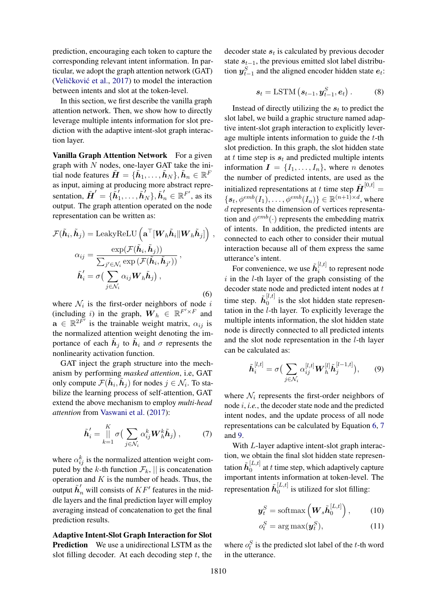prediction, encouraging each token to capture the corresponding relevant intent information. In particular, we adopt the graph attention network (GAT) (Veličković et al.,  $2017$ ) to model the interaction between intents and slot at the token-level.

In this section, we first describe the vanilla graph attention network. Then, we show how to directly leverage multiple intents information for slot prediction with the adaptive intent-slot graph interaction layer.

Vanilla Graph Attention Network For a given graph with  $N$  nodes, one-layer GAT take the initial node features  $\tilde{\bm{H}} = \{\tilde{\bm{h}}_1, \dots, \tilde{\bm{h}}_N\}, \tilde{\bm{h}}_n \in \mathbb{R}^F$ as input, aiming at producing more abstract representation,  $\tilde{H}' = \{ \tilde{h}'_1$  $\{\boldsymbol{\tilde{h}}_N^{\prime}\},\boldsymbol{\tilde{h}}_n^{\prime}\in \mathbb{R}^{F^{\prime}},$  as its output. The graph attention operated on the node representation can be written as:

$$
\mathcal{F}(\tilde{\boldsymbol{h}}_i, \tilde{\boldsymbol{h}}_j) = \text{LeakyReLU}\left(\mathbf{a}^\top[\boldsymbol{W}_h\tilde{\boldsymbol{h}}_i||\boldsymbol{W}_h\tilde{\boldsymbol{h}}_j]\right),
$$

$$
\alpha_{ij} = \frac{\exp(\mathcal{F}(\tilde{\boldsymbol{h}}_i, \tilde{\boldsymbol{h}}_j))}{\sum_{j' \in \mathcal{N}_i} \exp(\mathcal{F}(\tilde{\boldsymbol{h}}_i, \tilde{\boldsymbol{h}}_{j'}))},
$$

$$
\tilde{\boldsymbol{h}}_i' = \sigma\left(\sum_{j \in \mathcal{N}_i} \alpha_{ij}\boldsymbol{W}_h\tilde{\boldsymbol{h}}_j\right),
$$
(6)

where  $\mathcal{N}_i$  is the first-order neighbors of node i (including i) in the graph,  $\overline{W}_h \in \mathbb{R}^{F' \times F}$  and  $\mathbf{a} \in \mathbb{R}^{2F'}$  is the trainable weight matrix,  $\alpha_{ij}$  is the normalized attention weight denoting the importance of each  $\tilde{h}_j$  to  $\tilde{h}_i$  and  $\sigma$  represents the nonlinearity activation function.

GAT inject the graph structure into the mechanism by performing *masked attention*, i.e, GAT only compute  $\mathcal{F}(\tilde{\boldsymbol{h}}_i, \tilde{\boldsymbol{h}}_j)$  for nodes  $j \in \mathcal{N}_i$ . To stabilize the learning process of self-attention, GAT extend the above mechanism to employ *multi-head attention* from [Vaswani et al.](#page-9-8) [\(2017\)](#page-9-8):

$$
\tilde{\boldsymbol{h}}'_{i} = \prod_{k=1}^{K} \sigma \big( \sum_{j \in \mathcal{N}_{i}} \alpha_{ij}^{k} \boldsymbol{W}_{h}^{k} \tilde{\boldsymbol{h}}_{j} \big), \tag{7}
$$

where  $\alpha_{ij}^k$  is the normalized attention weight computed by the k-th function  $\mathcal{F}_k$ , || is concatenation operation and  $K$  is the number of heads. Thus, the output  $\tilde{h}'_n$  will consists of  $KF'$  features in the middle layers and the final prediction layer will employ averaging instead of concatenation to get the final prediction results.

Adaptive Intent-Slot Graph Interaction for Slot Prediction We use a unidirectional LSTM as the slot filling decoder. At each decoding step  $t$ , the

decoder state  $s_t$  is calculated by previous decoder state  $s_{t-1}$ , the previous emitted slot label distribution  $y_{t-1}^S$  and the aligned encoder hidden state  $e_t$ :

$$
\boldsymbol{s}_t = \text{LSTM}\left(\boldsymbol{s}_{t-1}, \boldsymbol{y}_{t-1}^S, \boldsymbol{e}_t\right). \tag{8}
$$

Instead of directly utilizing the  $s_t$  to predict the slot label, we build a graphic structure named adaptive intent-slot graph interaction to explicitly leverage multiple intents information to guide the t-th slot prediction. In this graph, the slot hidden state at t time step is  $s_t$  and predicted multiple intents information  $\mathbf{I} = \{I_1, \ldots, I_n\}$ , where *n* denotes the number of predicted intents, are used as the initialized representations at t time step  $\tilde{H}^{[0,t]}$  =  ${s_t, \phi^{emb}(I_1), \ldots, \phi^{emb}(I_n)} \in \mathbb{R}^{(n+1) \times d}$ , where d represents the dimension of vertices representation and  $\phi^{emb}(\cdot)$  represents the embedding matrix of intents. In addition, the predicted intents are connected to each other to consider their mutual interaction because all of them express the same utterance's intent.

<span id="page-3-0"></span>For convenience, we use  $\tilde{h}_i^{[l,t]}$  $i_i^{[0,0]}$  to represent node  $i$  in the  $l$ -th layer of the graph consisting of the decoder state node and predicted intent nodes at  $t$ time step.  $\tilde{h}_0^{[l,t]}$  $\int_0^{\mu,\nu}$  is the slot hidden state representation in the l-th layer. To explicitly leverage the multiple intents information, the slot hidden state node is directly connected to all predicted intents and the slot node representation in the l-th layer can be calculated as:

<span id="page-3-2"></span>
$$
\tilde{\boldsymbol{h}}_i^{[l,t]} = \sigma \big( \sum_{j \in \mathcal{N}_i} \alpha_{ij}^{[l,t]} \boldsymbol{W}_h^{[l]} \tilde{\boldsymbol{h}}_j^{[l-1,t]} \big), \qquad (9)
$$

<span id="page-3-1"></span>where  $\mathcal{N}_i$  represents the first-order neighbors of node i, *i.e.*, the decoder state node and the predicted intent nodes, and the update process of all node representations can be calculated by Equation [6,](#page-3-0) [7](#page-3-1) and [9.](#page-3-2)

With L-layer adaptive intent-slot graph interaction, we obtain the final slot hidden state representation  $\tilde{\bm{h}}_0^{[L,t]}$  $\frac{1}{0}$  at t time step, which adaptively capture important intents information at token-level. The representation  $\tilde{h}_0^{[L,t]}$  $\int_0^{\lfloor L \rfloor}$  is utilized for slot filling:

$$
\boldsymbol{y}_t^S = \text{softmax}\left(\boldsymbol{W}_s \tilde{\boldsymbol{h}}_0^{[L,t]}\right),\qquad(10)
$$

$$
o_t^S = \arg \max(\boldsymbol{y}_t^S), \tag{11}
$$

where  $o_t^S$  is the predicted slot label of the t-th word in the utterance.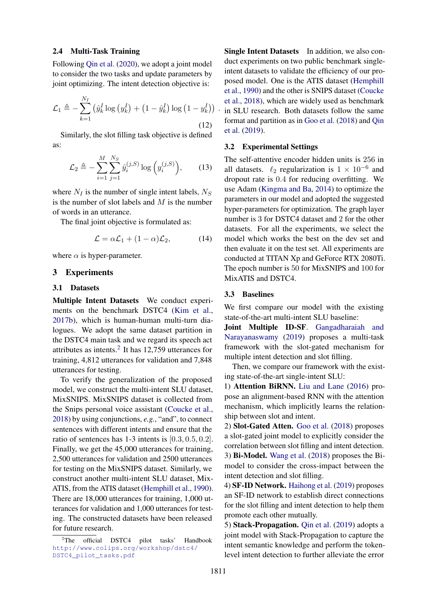#### 2.4 Multi-Task Training

Following [Qin et al.](#page-9-11) [\(2020\)](#page-9-11), we adopt a joint model to consider the two tasks and update parameters by joint optimizing. The intent detection objective is:

$$
\mathcal{L}_1 \triangleq -\sum_{k=1}^{N_I} (\hat{y}_k^I \log (y_k^I) + (1 - \hat{y}_k^I) \log (1 - y_k^I)) \tag{12}
$$

Similarly, the slot filling task objective is defined as:

$$
\mathcal{L}_2 \triangleq -\sum_{i=1}^{M} \sum_{j=1}^{N_S} \hat{y}_i^{(j,S)} \log \left( y_i^{(j,S)} \right), \qquad (13)
$$

where  $N_I$  is the number of single intent labels,  $N_S$ is the number of slot labels and  $M$  is the number of words in an utterance.

The final joint objective is formulated as:

$$
\mathcal{L} = \alpha \mathcal{L}_1 + (1 - \alpha) \mathcal{L}_2, \tag{14}
$$

where  $\alpha$  is hyper-parameter.

### 3 Experiments

### 3.1 Datasets

Multiple Intent Datasets We conduct experiments on the benchmark DSTC4 [\(Kim et al.,](#page-9-12) [2017b\)](#page-9-12), which is human-human multi-turn dialogues. We adopt the same dataset partition in the DSTC4 main task and we regard its speech act attributes as intents. $2$  It has 12,759 utterances for training, 4,812 utterances for validation and 7,848 utterances for testing.

To verify the generalization of the proposed model, we construct the multi-intent SLU dataset, MixSNIPS. MixSNIPS dataset is collected from the Snips personal voice assistant [\(Coucke et al.,](#page-8-3) [2018\)](#page-8-3) by using conjunctions, *e.g.*, "and", to connect sentences with different intents and ensure that the ratio of sentences has 1-3 intents is [0.3, 0.5, 0.2]. Finally, we get the 45,000 utterances for training, 2,500 utterances for validation and 2500 utterances for testing on the MixSNIPS dataset. Similarly, we construct another multi-intent SLU dataset, Mix-ATIS, from the ATIS dataset [\(Hemphill et al.,](#page-9-6) [1990\)](#page-9-6). There are 18,000 utterances for training, 1,000 utterances for validation and 1,000 utterances for testing. The constructed datasets have been released for future research.

Single Intent Datasets In addition, we also conduct experiments on two public benchmark singleintent datasets to validate the efficiency of our proposed model. One is the ATIS dataset [\(Hemphill](#page-9-6) [et al.,](#page-9-6) [1990\)](#page-9-6) and the other is SNIPS dataset [\(Coucke](#page-8-3) [et al.,](#page-8-3) [2018\)](#page-8-3), which are widely used as benchmark in SLU research. Both datasets follow the same format and partition as in [Goo et al.](#page-8-0) [\(2018\)](#page-8-0) and [Qin](#page-9-4) [et al.](#page-9-4) [\(2019\)](#page-9-4).

### 3.2 Experimental Settings

The self-attentive encoder hidden units is 256 in all datasets.  $\ell_2$  regularization is  $1 \times 10^{-6}$  and dropout rate is 0.4 for reducing overfitting. We use Adam [\(Kingma and Ba,](#page-9-13) [2014\)](#page-9-13) to optimize the parameters in our model and adopted the suggested hyper-parameters for optimization. The graph layer number is 3 for DSTC4 dataset and 2 for the other datasets. For all the experiments, we select the model which works the best on the dev set and then evaluate it on the test set. All experiments are conducted at TITAN Xp and GeForce RTX 2080Ti. The epoch number is 50 for MixSNIPS and 100 for MixATIS and DSTC4.

#### 3.3 Baselines

We first compare our model with the existing state-of-the-art multi-intent SLU baseline:

Joint Multiple ID-SF. [Gangadharaiah and](#page-8-2) [Narayanaswamy](#page-8-2) [\(2019\)](#page-8-2) proposes a multi-task framework with the slot-gated mechanism for multiple intent detection and slot filling.

Then, we compare our framework with the existing state-of-the-art single-intent SLU:

1) Attention BiRNN. [Liu and Lane](#page-9-14) [\(2016\)](#page-9-14) propose an alignment-based RNN with the attention mechanism, which implicitly learns the relationship between slot and intent.

2) Slot-Gated Atten. [Goo et al.](#page-8-0) [\(2018\)](#page-8-0) proposes a slot-gated joint model to explicitly consider the correlation between slot filling and intent detection. 3) Bi-Model. [Wang et al.](#page-9-15) [\(2018\)](#page-9-15) proposes the Bimodel to consider the cross-impact between the intent detection and slot filling.

4) SF-ID Network. [Haihong et al.](#page-8-4) [\(2019\)](#page-8-4) proposes an SF-ID network to establish direct connections for the slot filling and intent detection to help them promote each other mutually.

5) Stack-Propagation. [Qin et al.](#page-9-4) [\(2019\)](#page-9-4) adopts a joint model with Stack-Propagation to capture the intent semantic knowledge and perform the tokenlevel intent detection to further alleviate the error

<span id="page-4-0"></span><sup>&</sup>lt;sup>2</sup>The official DSTC4 pilot tasks' Handbook [http://www.colips.org/workshop/dstc4/](http://www.colips.org/workshop/dstc4/DSTC4_pilot_tasks.pdf) [DSTC4\\_pilot\\_tasks.pdf](http://www.colips.org/workshop/dstc4/DSTC4_pilot_tasks.pdf)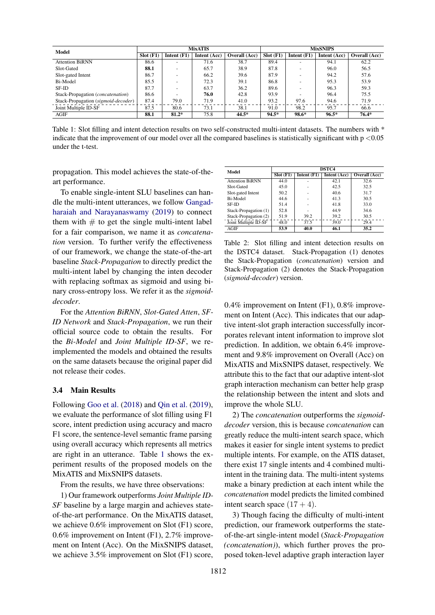<span id="page-5-0"></span>

| Model                                      |             |                          | <b>MixATIS</b> |               | <b>MixSNIPS</b> |               |              |               |
|--------------------------------------------|-------------|--------------------------|----------------|---------------|-----------------|---------------|--------------|---------------|
|                                            | $Slot$ (F1) | Intent $(F1)$            | Intent (Acc)   | Overall (Acc) | Slot(F1)        | Intent $(F1)$ | Intent (Acc) | Overall (Acc) |
| <b>Attention BiRNN</b>                     | 86.6        |                          | 71.6           | 38.7          | 89.4            |               | 94.1         | 62.2          |
| Slot-Gated                                 | 88.1        | <b>.</b>                 | 65.7           | 38.9          | 87.8            |               | 96.0         | 56.5          |
| Slot-gated Intent                          | 86.7        |                          | 66.2           | 39.6          | 87.9            |               | 94.2         | 57.6          |
| Bi-Model                                   | 85.5        | $\overline{\phantom{0}}$ | 72.3           | 39.1          | 86.8            |               | 95.3         | 53.9          |
| SF-ID                                      | 87.7        |                          | 63.7           | 36.2          | 89.6            |               | 96.3         | 59.3          |
| Stack-Propagation ( <i>concatenation</i> ) | 86.6        |                          | 76.0           | 42.8          | 93.9            |               | 96.4         | 75.5          |
| Stack-Propagation (sigmoid-decoder)        | 87.4        | 79.0                     | 71.9           | 41.0          | 93.2            | 97.6          | 94.6         | 71.9          |
| Joint Multiple ID-SF                       | 87.5        | 80.6                     | 73.1           | 38.1          | 91.0            | 98.2          | 95.7         | 66.6          |
| AGIF                                       | 88.1        | $81.2*$                  | 75.8           | 44.5*         | $94.5*$         | 98.6*         | $96.5*$      | $76.4*$       |

Table 1: Slot filling and intent detection results on two self-constructed multi-intent datasets. The numbers with \* indicate that the improvement of our model over all the compared baselines is statistically significant with  $p < 0.05$ under the t-test.

propagation. This model achieves the state-of-theart performance.

To enable single-intent SLU baselines can handle the multi-intent utterances, we follow [Gangad](#page-8-2)[haraiah and Narayanaswamy](#page-8-2) [\(2019\)](#page-8-2) to connect them with  $#$  to get the single multi-intent label for a fair comparison, we name it as *concatenation* version. To further verify the effectiveness of our framework, we change the state-of-the-art baseline *Stack-Propagation* to directly predict the multi-intent label by changing the inten decoder with replacing softmax as sigmoid and using binary cross-entropy loss. We refer it as the *sigmoiddecoder*.

For the *Attention BiRNN*, *Slot-Gated Atten*, *SF-ID Network* and *Stack-Propagation*, we run their official source code to obtain the results. For the *Bi-Model* and *Joint Multiple ID-SF*, we reimplemented the models and obtained the results on the same datasets because the original paper did not release their codes.

#### 3.4 Main Results

Following [Goo et al.](#page-8-0) [\(2018\)](#page-8-0) and [Qin et al.](#page-9-4) [\(2019\)](#page-9-4), we evaluate the performance of slot filling using F1 score, intent prediction using accuracy and macro F1 score, the sentence-level semantic frame parsing using overall accuracy which represents all metrics are right in an utterance. Table [1](#page-5-0) shows the experiment results of the proposed models on the MixATIS and MixSNIPS datasets.

From the results, we have three observations:

1) Our framework outperforms *Joint Multiple ID-SF* baseline by a large margin and achieves stateof-the-art performance. On the MixATIS dataset, we achieve 0.6% improvement on Slot (F1) score, 0.6% improvement on Intent (F1), 2.7% improvement on Intent (Acc). On the MixSNIPS dataset, we achieve 3.5% improvement on Slot (F1) score,

<span id="page-5-1"></span>

| Model                  | <b>DSTC4</b> |               |              |               |  |  |  |  |
|------------------------|--------------|---------------|--------------|---------------|--|--|--|--|
|                        | Slot(F1)     | Intent $(F1)$ | Intent (Acc) | Overall (Acc) |  |  |  |  |
| <b>Attention BiRNN</b> | 44.0         |               | 42.1         | 32.6          |  |  |  |  |
| Slot-Gated             | 45.0         |               | 42.5         | 32.5          |  |  |  |  |
| Slot-gated Intent      | 50.2         |               | 40.6         | 31.7          |  |  |  |  |
| Bi-Model               | 44.6         |               | 41.3         | 30.5          |  |  |  |  |
| SF-ID                  | 51.4         |               | 41.8         | 33.0          |  |  |  |  |
| Stack-Propagation (1)  | 52.8         |               | 44.9         | 34.6          |  |  |  |  |
| Stack-Propagation (2)  | 51.9         | 39.2          | 39.2         | 30.5          |  |  |  |  |
| Joint Multiple ID-SF   | 48.0         | 37.5          | 39.0         | 29.4          |  |  |  |  |
| AGIF                   | 53.9         | 40.0          | 46.1         | 35.2          |  |  |  |  |

Table 2: Slot filling and intent detection results on the DSTC4 dataset. Stack-Propagation (1) denotes the Stack-Propagation (*concatenation*) version and Stack-Propagation (2) denotes the Stack-Propagation (*sigmoid-decoder*) version.

0.4% improvement on Intent (F1), 0.8% improvement on Intent (Acc). This indicates that our adaptive intent-slot graph interaction successfully incorporates relevant intent information to improve slot prediction. In addition, we obtain 6.4% improvement and 9.8% improvement on Overall (Acc) on MixATIS and MixSNIPS dataset, respectively. We attribute this to the fact that our adaptive intent-slot graph interaction mechanism can better help grasp the relationship between the intent and slots and improve the whole SLU.

2) The *concatenation* outperforms the *sigmoiddecoder* version, this is because *concatenation* can greatly reduce the multi-intent search space, which makes it easier for single intent systems to predict multiple intents. For example, on the ATIS dataset, there exist 17 single intents and 4 combined multiintent in the training data. The multi-intent systems make a binary prediction at each intent while the *concatenation* model predicts the limited combined intent search space  $(17 + 4)$ .

3) Though facing the difficulty of multi-intent prediction, our framework outperforms the stateof-the-art single-intent model (*Stack-Propagation (concatenation)*), which further proves the proposed token-level adaptive graph interaction layer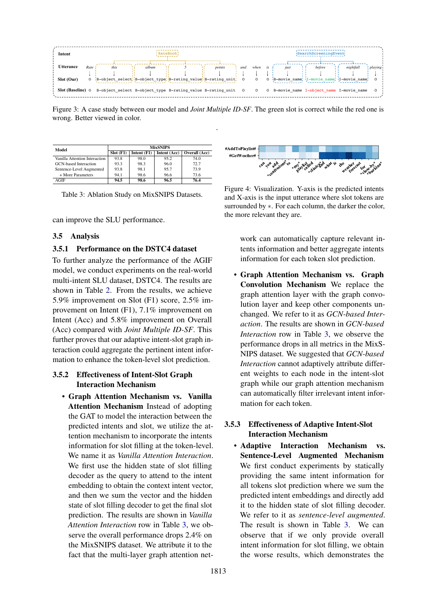<span id="page-6-1"></span>

Figure 3: A case study between our model and *Joint Multiple ID-SF*. The green slot is correct while the red one is wrong. Better viewed in color.

.

<span id="page-6-0"></span>

| Model                         | <b>MixSNIPS</b> |               |              |               |  |  |  |  |
|-------------------------------|-----------------|---------------|--------------|---------------|--|--|--|--|
|                               | Slot(F1)        | Intent $(F1)$ | Intent (Acc) | Overall (Acc) |  |  |  |  |
| Vanilla Attention Interaction | 93.8            | 98.0          | 95.2         | 74.0          |  |  |  |  |
| GCN-based Interaction         | 93.3            | 98.3          | 96.0         | 72.7          |  |  |  |  |
| Sentence-Level Augmented      | 93.8            | 98.1          | 95.7         | 73.9          |  |  |  |  |
| + More Parameters             | 94.1            | 98.6          | 96.6         | 73.6          |  |  |  |  |
| AGIF                          | 94.5            | 98.6          | 96.5         | 76.4          |  |  |  |  |

Table 3: Ablation Study on MixSNIPS Datasets.

can improve the SLU performance.

### 3.5 Analysis

## 3.5.1 Performance on the DSTC4 dataset

To further analyze the performance of the AGIF model, we conduct experiments on the real-world multi-intent SLU dataset, DSTC4. The results are shown in Table [2.](#page-5-1) From the results, we achieve 5.9% improvement on Slot (F1) score, 2.5% improvement on Intent (F1), 7.1% improvement on Intent (Acc) and 5.8% improvement on Overall (Acc) compared with *Joint Multiple ID-SF*. This further proves that our adaptive intent-slot graph interaction could aggregate the pertinent intent information to enhance the token-level slot prediction.

## 3.5.2 Effectiveness of Intent-Slot Graph Interaction Mechanism

• Graph Attention Mechanism vs. Vanilla Attention Mechanism Instead of adopting the GAT to model the interaction between the predicted intents and slot, we utilize the attention mechanism to incorporate the intents information for slot filling at the token-level. We name it as *Vanilla Attention Interaction*. We first use the hidden state of slot filling decoder as the query to attend to the intent embedding to obtain the context intent vector, and then we sum the vector and the hidden state of slot filling decoder to get the final slot prediction. The results are shown in *Vanilla Attention Interaction* row in Table [3,](#page-6-0) we observe the overall performance drops 2.4% on the MixSNIPS dataset. We attribute it to the fact that the multi-layer graph attention net-

<span id="page-6-2"></span>

Figure 4: Visualization. Y-axis is the predicted intents and X-axis is the input utterance where slot tokens are surrounded by  $*$ . For each column, the darker the color, the more relevant they are.

work can automatically capture relevant intents information and better aggregate intents information for each token slot prediction.

• Graph Attention Mechanism vs. Graph Convolution Mechanism We replace the graph attention layer with the graph convolution layer and keep other components unchanged. We refer to it as *GCN-based Interaction*. The results are shown in *GCN-based Interaction* row in Table [3,](#page-6-0) we observe the performance drops in all metrics in the MixS-NIPS dataset. We suggested that *GCN-based Interaction* cannot adaptively attribute different weights to each node in the intent-slot graph while our graph attention mechanism can automatically filter irrelevant intent information for each token.

## 3.5.3 Effectiveness of Adaptive Intent-Slot Interaction Mechanism

• Adaptive Interaction Mechanism vs. Sentence-Level Augmented Mechanism We first conduct experiments by statically providing the same intent information for all tokens slot prediction where we sum the predicted intent embeddings and directly add it to the hidden state of slot filling decoder. We refer to it as *sentence-level augmented*. The result is shown in Table [3.](#page-6-0) We can observe that if we only provide overall intent information for slot filling, we obtain the worse results, which demonstrates the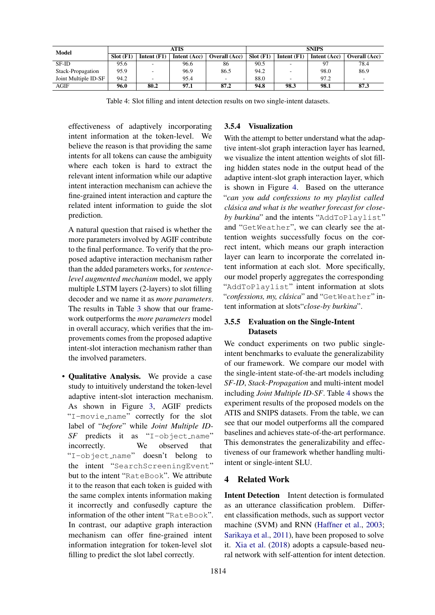<span id="page-7-0"></span>

| Model                |             |                          | ATIS         |                          | <b>SNIPS</b> |                          |              |                          |  |
|----------------------|-------------|--------------------------|--------------|--------------------------|--------------|--------------------------|--------------|--------------------------|--|
|                      | $Slot$ (F1) | Intent $(F1)$            | Intent (Acc) | <b>Overall</b> (Acc)     | Slot(F1)     | Intent $(F1)$            | Intent (Acc) | <b>Overall</b> (Acc)     |  |
| SF-ID                | 95.6        | $\overline{\phantom{a}}$ | 96.6         | 86                       | 90.5         | $\overline{\phantom{a}}$ | 97           | 78.4                     |  |
| Stack-Propagation    | 95.9        |                          | 96.9         | 86.5                     | 94.2         |                          | 98.0         | 86.9                     |  |
| Joint Multiple ID-SF | 94.2        | $\overline{\phantom{a}}$ | 95.4         | $\overline{\phantom{a}}$ | 88.0         | $\overline{\phantom{0}}$ | 97.2         | $\overline{\phantom{a}}$ |  |
| AGIF                 | 96.0        | 80.2                     | 97.1         | 87.2                     | 94.8         | 98.3                     | 98.1         | 87.3                     |  |

Table 4: Slot filling and intent detection results on two single-intent datasets.

effectiveness of adaptively incorporating intent information at the token-level. We believe the reason is that providing the same intents for all tokens can cause the ambiguity where each token is hard to extract the relevant intent information while our adaptive intent interaction mechanism can achieve the fine-grained intent interaction and capture the related intent information to guide the slot prediction.

A natural question that raised is whether the more parameters involved by AGIF contribute to the final performance. To verify that the proposed adaptive interaction mechanism rather than the added parameters works, for *sentencelevel augmented mechanism* model, we apply multiple LSTM layers (2-layers) to slot filling decoder and we name it as *more parameters*. The results in Table [3](#page-6-0) show that our framework outperforms the *more parameters* model in overall accuracy, which verifies that the improvements comes from the proposed adaptive intent-slot interaction mechanism rather than the involved parameters.

• Qualitative Analysis. We provide a case study to intuitively understand the token-level adaptive intent-slot interaction mechanism. As shown in Figure [3,](#page-6-1) AGIF predicts "I-movie name" correctly for the slot label of "*before*" while *Joint Multiple ID-SF* predicts it as "I-object\_name" incorrectly. We observed that "I-object name" doesn't belong to the intent "SearchScreeningEvent" but to the intent "RateBook". We attribute it to the reason that each token is guided with the same complex intents information making it incorrectly and confusedly capture the information of the other intent "RateBook". In contrast, our adaptive graph interaction mechanism can offer fine-grained intent information integration for token-level slot filling to predict the slot label correctly.

## 3.5.4 Visualization

With the attempt to better understand what the adaptive intent-slot graph interaction layer has learned, we visualize the intent attention weights of slot filling hidden states node in the output head of the adaptive intent-slot graph interaction layer, which is shown in Figure [4.](#page-6-2) Based on the utterance "*can you add confessions to my playlist called clasica and what is the weather forecast for close- ´* by burkina" and the intents "AddToPlaylist" and "GetWeather", we can clearly see the attention weights successfully focus on the correct intent, which means our graph interaction layer can learn to incorporate the correlated intent information at each slot. More specifically, our model properly aggregates the corresponding "AddToPlaylist" intent information at slots "confessions, my, clásica" and "GetWeather" intent information at slots"*close-by burkina*".

## 3.5.5 Evaluation on the Single-Intent **Datasets**

We conduct experiments on two public singleintent benchmarks to evaluate the generalizability of our framework. We compare our model with the single-intent state-of-the-art models including *SF-ID*, *Stack-Propagation* and multi-intent model including *Joint Multiple ID-SF*. Table [4](#page-7-0) shows the experiment results of the proposed models on the ATIS and SNIPS datasets. From the table, we can see that our model outperforms all the compared baselines and achieves state-of-the-art performance. This demonstrates the generalizability and effectiveness of our framework whether handling multiintent or single-intent SLU.

## 4 Related Work

Intent Detection Intent detection is formulated as an utterance classification problem. Different classification methods, such as support vector machine (SVM) and RNN [\(Haffner et al.,](#page-8-5) [2003;](#page-8-5) [Sarikaya et al.,](#page-9-16) [2011\)](#page-9-16), have been proposed to solve it. [Xia et al.](#page-9-17) [\(2018\)](#page-9-17) adopts a capsule-based neural network with self-attention for intent detection.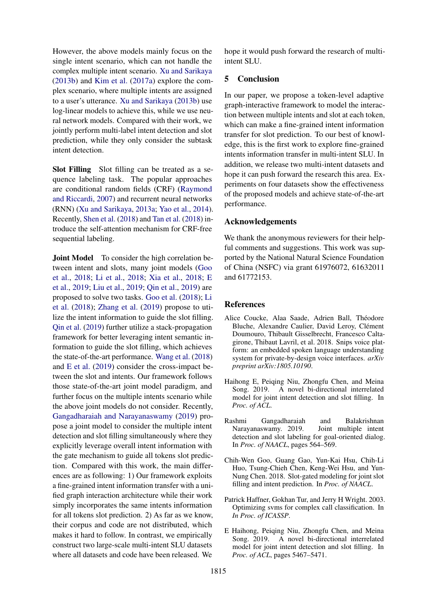However, the above models mainly focus on the single intent scenario, which can not handle the complex multiple intent scenario. [Xu and Sarikaya](#page-9-18) [\(2013b\)](#page-9-18) and [Kim et al.](#page-9-19) [\(2017a\)](#page-9-19) explore the complex scenario, where multiple intents are assigned to a user's utterance. [Xu and Sarikaya](#page-9-18) [\(2013b\)](#page-9-18) use log-linear models to achieve this, while we use neural network models. Compared with their work, we jointly perform multi-label intent detection and slot prediction, while they only consider the subtask intent detection.

Slot Filling Slot filling can be treated as a sequence labeling task. The popular approaches are conditional random fields (CRF) [\(Raymond](#page-9-20) [and Riccardi,](#page-9-20) [2007\)](#page-9-20) and recurrent neural networks (RNN) [\(Xu and Sarikaya,](#page-9-21) [2013a;](#page-9-21) [Yao et al.,](#page-9-22) [2014\)](#page-9-22). Recently, [Shen et al.](#page-9-23) [\(2018\)](#page-9-23) and [Tan et al.](#page-9-24) [\(2018\)](#page-9-24) introduce the self-attention mechanism for CRF-free sequential labeling.

**Joint Model** To consider the high correlation between intent and slots, many joint models [\(Goo](#page-8-0) [et al.,](#page-8-0) [2018;](#page-8-0) [Li et al.,](#page-9-2) [2018;](#page-9-2) [Xia et al.,](#page-9-17) [2018;](#page-9-17) [E](#page-8-1) [et al.,](#page-8-1) [2019;](#page-8-1) [Liu et al.,](#page-9-3) [2019;](#page-9-3) [Qin et al.,](#page-9-4) [2019\)](#page-9-4) are proposed to solve two tasks. [Goo et al.](#page-8-0) [\(2018\)](#page-8-0); [Li](#page-9-2) [et al.](#page-9-2) [\(2018\)](#page-9-2); [Zhang et al.](#page-9-25) [\(2019\)](#page-9-25) propose to utilize the intent information to guide the slot filling. [Qin et al.](#page-9-4) [\(2019\)](#page-9-4) further utilize a stack-propagation framework for better leveraging intent semantic information to guide the slot filling, which achieves the state-of-the-art performance. [Wang et al.](#page-9-15) [\(2018\)](#page-9-15) and [E et al.](#page-8-1) [\(2019\)](#page-8-1) consider the cross-impact between the slot and intents. Our framework follows those state-of-the-art joint model paradigm, and further focus on the multiple intents scenario while the above joint models do not consider. Recently, [Gangadharaiah and Narayanaswamy](#page-8-2) [\(2019\)](#page-8-2) propose a joint model to consider the multiple intent detection and slot filling simultaneously where they explicitly leverage overall intent information with the gate mechanism to guide all tokens slot prediction. Compared with this work, the main differences are as following: 1) Our framework exploits a fine-grained intent information transfer with a unified graph interaction architecture while their work simply incorporates the same intents information for all tokens slot prediction. 2) As far as we know, their corpus and code are not distributed, which makes it hard to follow. In contrast, we empirically construct two large-scale multi-intent SLU datasets where all datasets and code have been released. We

hope it would push forward the research of multiintent SLU.

## 5 Conclusion

In our paper, we propose a token-level adaptive graph-interactive framework to model the interaction between multiple intents and slot at each token, which can make a fine-grained intent information transfer for slot prediction. To our best of knowledge, this is the first work to explore fine-grained intents information transfer in multi-intent SLU. In addition, we release two multi-intent datasets and hope it can push forward the research this area. Experiments on four datasets show the effectiveness of the proposed models and achieve state-of-the-art performance.

## Acknowledgements

We thank the anonymous reviewers for their helpful comments and suggestions. This work was supported by the National Natural Science Foundation of China (NSFC) via grant 61976072, 61632011 and 61772153.

## References

- <span id="page-8-3"></span>Alice Coucke, Alaa Saade, Adrien Ball, Théodore Bluche, Alexandre Caulier, David Leroy, Clément Doumouro, Thibault Gisselbrecht, Francesco Caltagirone, Thibaut Lavril, et al. 2018. Snips voice platform: an embedded spoken language understanding system for private-by-design voice interfaces. *arXiv preprint arXiv:1805.10190*.
- <span id="page-8-1"></span>Haihong E, Peiqing Niu, Zhongfu Chen, and Meina Song. 2019. A novel bi-directional interrelated model for joint intent detection and slot filling. In *Proc. of ACL*.
- <span id="page-8-2"></span>Rashmi Gangadharaiah and Balakrishnan Narayanaswamy. 2019. detection and slot labeling for goal-oriented dialog. In *Proc. of NAACL*, pages 564–569.
- <span id="page-8-0"></span>Chih-Wen Goo, Guang Gao, Yun-Kai Hsu, Chih-Li Huo, Tsung-Chieh Chen, Keng-Wei Hsu, and Yun-Nung Chen. 2018. Slot-gated modeling for joint slot filling and intent prediction. In *Proc. of NAACL*.
- <span id="page-8-5"></span>Patrick Haffner, Gokhan Tur, and Jerry H Wright. 2003. Optimizing svms for complex call classification. In *In Proc. of ICASSP*.
- <span id="page-8-4"></span>E Haihong, Peiqing Niu, Zhongfu Chen, and Meina Song. 2019. A novel bi-directional interrelated model for joint intent detection and slot filling. In *Proc. of ACL*, pages 5467–5471.